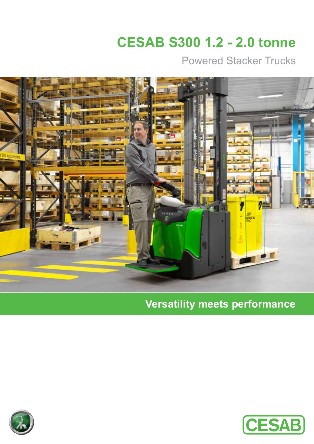# **CESAB S300 1.2 - 2.0 tonne**

Powered Stacker Trucks



# **Versatility meets performance**

![](_page_0_Picture_4.jpeg)

![](_page_0_Picture_5.jpeg)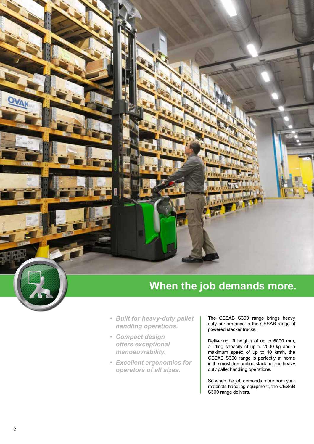# **When the job demands more.**

- *• Built for heavy-duty pallet handling operations.*
- *• Compact design offers exceptional manoeuvrability.*
- *• Excellent ergonomics for operators of all sizes.*

The CESAB S300 range brings heavy duty performance to the CESAB range of powered stacker trucks.

Delivering lift heights of up to 6000 mm, a lifting capacity of up to 2000 kg and a maximum speed of up to 10 km/h, the CESAB S300 range is perfectly at home in the most demanding stacking and heavy duty pallet handling operations.

So when the job demands more from your materials handling equipment, the CESAB S300 range delivers.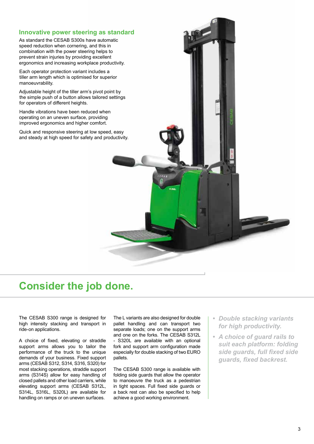![](_page_2_Picture_0.jpeg)

## **Consider the job done.**

The CESAB S300 range is designed for high intensity stacking and transport in ride-on applications.

A choice of fixed, elevating or straddle support arms allows you to tailor the performance of the truck to the unique demands of your business. Fixed support arms (CESAB S312, S314, S316, S320) for most stacking operations, straddle support arms (S314S) allow for easy handling of closed pallets and other load carriers, while elevating support arms (CESAB S312L, S314L, S316L, S320L) are available for handling on ramps or on uneven surfaces.

The L variants are also designed for double pallet handling and can transport two separate loads; one on the support arms and one on the forks. The CESAB S312L - S320L are available with an optional fork and support arm configuration made especially for double stacking of two EURO pallets.

The CESAB S300 range is available with folding side guards that allow the operator to manoeuvre the truck as a pedestrian in tight spaces. Full fixed side guards or a back rest can also be specified to help achieve a good working environment.

- *• Double stacking variants for high productivity.*
- *• A choice of guard rails to suit each platform: folding side guards, full fixed side guards, fixed backrest.*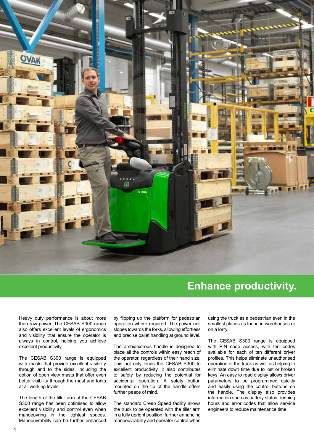![](_page_3_Picture_0.jpeg)

### **Enhance productivity.**

Heavy duty performance is about more than raw power. The CESAB S300 range also offers excellent levels of ergonomics and visibility that ensure the operator is always in control, helping you achieve excellent productivity.

The CESAB S300 range is equipped with masts that provide excellent visibility through and to the sides, including the option of open view masts that offer even better visibility through the mast and forks at all working levels.

The length of the tiller arm of the CESAB S300 range has been optimised to allow excellent visibility and control even when manoeuvring in the tightest spaces. Manoeuvrability can be further enhanced

by flipping up the platform for pedestrian operation where required. The power unit slopes towards the forks, allowing effortless and precise pallet handling at ground level.

The ambidextrous handle is designed to place all the controls within easy reach of the operator, regardless of their hand size. This not only lends the CESAB S300 to excellent productivity, it also contributes to safety by reducing the potential for accidental operation. A safety button mounted on the tip of the handle offers further peace of mind.

The standard Creep Speed facility allows the truck to be operated with the tiller arm in a fully upright position, further enhancing manoeuvrability and operator control when

using the truck as a pedestrian even in the smallest places as found in warehouses or on a lorry.

The CESAB S300 range is equipped with PIN code access, with ten codes available for each of ten different driver profiles. This helps eliminate unauthorised operation of the truck as well as helping to eliminate down time due to lost or broken keys. An easy to read display allows driver parameters to be programmed quickly and easily using the control buttons on the handle. The display also provides information such as battery status, running hours and error codes that allow service engineers to reduce maintenance time.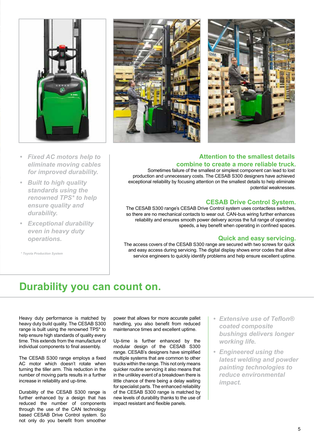![](_page_4_Picture_0.jpeg)

![](_page_4_Picture_1.jpeg)

- *• Fixed AC motors help to eliminate moving cables for improved durability.*
- *• Built to high quality standards using the renowned TPS\* to help ensure quality and durability.*
- *• Exceptional durability even in heavy duty operations.*

*\* Toyota Production System*

![](_page_4_Picture_6.jpeg)

Sometimes failure of the smallest or simplest component can lead to lost production and unnecessary costs. The CESAB S300 designers have achieved exceptional reliability by focusing attention on the smallest details to help eliminate potential weaknesses.

#### **CESAB Drive Control System.**

The CESAB S300 range's CESAB Drive Control system uses contactless switches, so there are no mechanical contacts to wear out. CAN-bus wiring further enhances reliability and ensures smooth power delivery across the full range of operating speeds, a key benefit when operating in confined spaces.

#### **Quick and easy servicing.**

The access covers of the CESAB S300 range are secured with two screws for quick and easy access during servicing. The digital display shows error codes that allow service engineers to quickly identify problems and help ensure excellent uptime.

# **Durability you can count on.**

Heavy duty performance is matched by heavy duty build quality. The CESAB S300 range is built using the renowned TPS\* to help ensure high standards of quality every time. This extends from the manufacture of individual components to final assembly.

The CESAB S300 range employs a fixed AC motor which doesn't rotate when turning the tiller arm. This reduction in the number of moving parts results in a further increase in reliability and up-time.

Durability of the CESAB S300 range is further enhanced by a design that has reduced the number of components through the use of the CAN technology based CESAB Drive Control system. So not only do you benefit from smoother

power that allows for more accurate pallet handling, you also benefit from reduced maintenance times and excellent uptime.

Up-time is further enhanced by the modular design of the CESAB S300 range. CESAB's designers have simplified multiple systems that are common to other trucks within the range. This not only means quicker routine servicing it also means that in the unlikley event of a breakdown there is little chance of there being a delay waiting for specialist parts. The enhanced reliability of the CESAB S300 range is matched by new levels of durability thanks to the use of impact resistant and flexible panels.

- *• Extensive use of Teflon® coated composite bushings delivers longer working life.*
- *• Engineered using the latest welding and powder painting technologies to reduce environmental impact.*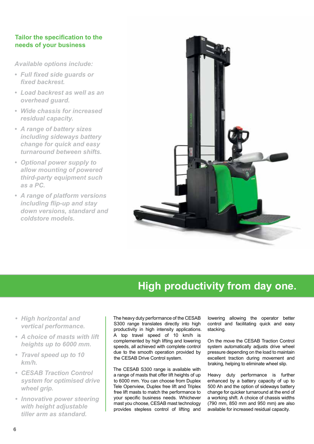#### **Tailor the specification to the needs of your business**

*Available options include:*

- *• Full fixed side guards or fixed backrest.*
- *• Load backrest as well as an overhead guard.*
- *• Wide chassis for increased residual capacity.*
- *• A range of battery sizes including sideways battery change for quick and easy turnaround between shifts.*
- *• Optional power supply to allow mounting of powered third-party equipment such as a PC.*
- *• A range of platform versions including flip-up and stay down versions, standard and coldstore models.*

![](_page_5_Picture_8.jpeg)

# **High productivity from day one.**

- *• High horizontal and vertical performance.*
- *• A choice of masts with lift heights up to 6000 mm.*
- *• Travel speed up to 10 km/h.*
- *• CESAB Traction Control system for optimised drive wheel grip.*
- *• Innovative power steering with height adjustable tiller arm as standard.*

The heavy duty performance of the CESAB S300 range translates directly into high productivity in high intensity applications. A top travel speed of 10 km/h is complemented by high lifting and lowering speeds, all achieved with complete control due to the smooth operation provided by the CESAB Drive Control system.

The CESAB S300 range is available with a range of masts that offer lift heights of up to 6000 mm. You can choose from Duplex Tele Openview, Duplex free lift and Triplex free lift masts to match the performance to your specific business needs. Whichever mast you choose, CESAB mast technology provides stepless control of lifting and

lowering allowing the operator better control and facilitating quick and easy stacking.

On the move the CESAB Traction Control system automatically adjusts drive wheel pressure depending on the load to maintain excellent traction during movement and braking, helping to eliminate wheel slip.

Heavy duty performance is further enhanced by a battery capacity of up to 500 Ah and the option of sideways battery change for quicker turnaround at the end of a working shift. A choice of chassis widths (790 mm, 850 mm and 950 mm) are also available for increased residual capacity.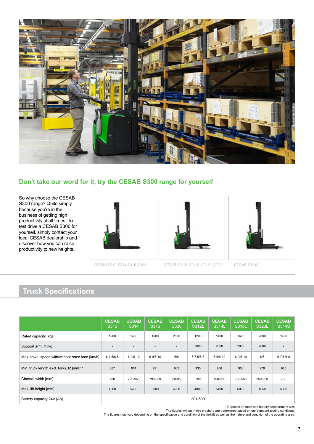![](_page_6_Picture_0.jpeg)

#### **Don't take our word for it, try the CESAB S300 range for yourself**

So why choose the CESAB S300 range? Quite simply because you're in the business of getting high productivity at all times. To test drive a CESAB S300 for yourself, simply contact your local CESAB dealership and discover how you can raise productivity to new heights.

![](_page_6_Picture_3.jpeg)

![](_page_6_Picture_5.jpeg)

*CESAB S312-S314-S316-S320 CESAB S312L-S314L-S316L-S320L CESAB S314S*

![](_page_6_Picture_7.jpeg)

# **Truck Specifications**

|                                                  | <b>CESAB</b><br>S312     | <b>CESAB</b><br>S314     | <b>CESAB</b><br>S316         | <b>CESAB</b><br>S320     | <b>CESAB</b><br>S312L | <b>CESAB</b><br>S314L | <b>CESAB</b><br>S316L | <b>CESAB</b><br><b>S320L</b> | <b>CESAB</b><br>S314S |
|--------------------------------------------------|--------------------------|--------------------------|------------------------------|--------------------------|-----------------------|-----------------------|-----------------------|------------------------------|-----------------------|
| Rated capacity [kg]                              | 1200                     | 1400                     | 1600                         | 2000                     | 1200                  | 1400                  | 1600                  | 2000                         | 1400                  |
| Support arm lift [kg]                            | $\overline{\phantom{a}}$ | $\overline{\phantom{a}}$ | $\qquad \qquad \blacksquare$ | $\overline{\phantom{a}}$ | 2000                  | 2000                  | 2000                  | 2000                         |                       |
| Max. travel speed with/without rated load [km/h] | $6 - 7.5/6 - 8$          | $6 - 9/6 - 10$           | $6 - 9/6 - 10$               | 6/6                      | $6 - 7.5/6 - 8$       | $6 - 9/6 - 10$        | $6 - 9/6 - 10$        | 6/6                          | $6 - 7.5/6 - 8$       |
| Min. truck length excl. forks, 12 [mm]**         | 887                      | 951                      | 951                          | 963                      | 935                   | 956                   | 956                   | 979                          | 965                   |
| Chassis width [mm]                               | 790                      | 790-950                  | 790-950                      | 850-950                  | 790                   | 790-950               | 790-950               | 850-950                      | 790                   |
| Max. lift height [mm]                            | 4800                     | 5400                     | 6000                         | 4050                     | 4800                  | 5400                  | 6000                  | 4050                         | 5350                  |
| Battery capacity 24V [Ah]                        | 201-500                  |                          |                              |                          |                       |                       |                       |                              |                       |

\* Depends on mast and battery compartment size

The figures written in this brochure are determined based on our standard testing conditions.<br>The figures may vary depending on the specification and condition of the forklift as well as the nature and condition of the ope